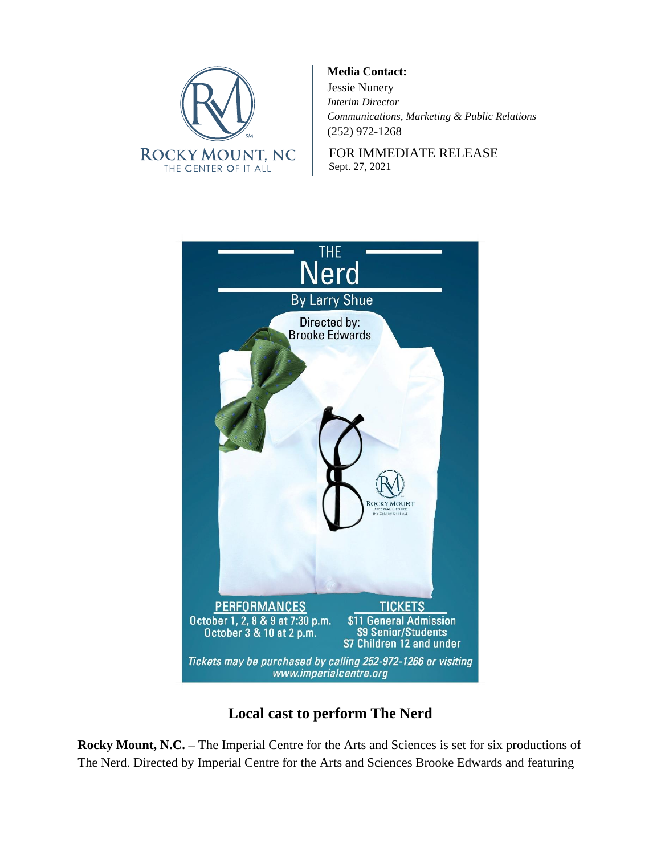

**Media Contact:** Jessie Nunery *Interim Director Communications, Marketing & Public Relations* (252) 972-1268

FOR IMMEDIATE RELEASE Sept. 27, 2021



## **Local cast to perform The Nerd**

**Rocky Mount, N.C. –** The Imperial Centre for the Arts and Sciences is set for six productions of The Nerd. Directed by Imperial Centre for the Arts and Sciences Brooke Edwards and featuring